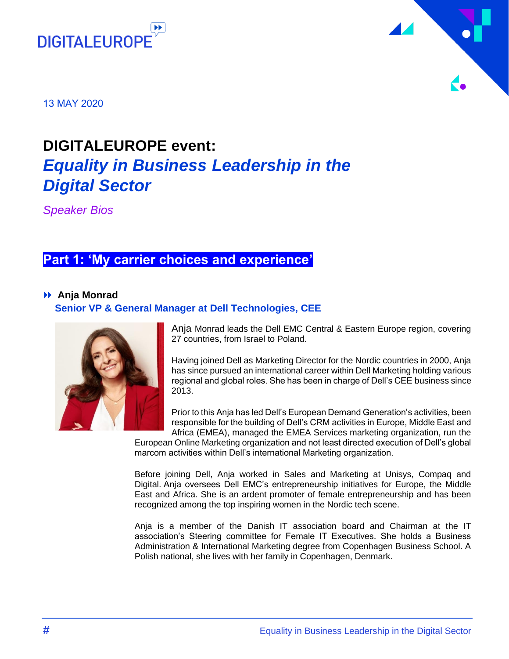



13 MAY 2020

# **DIGITALEUROPE event:**  *Equality in Business Leadership in the Digital Sector*

*Speaker Bios*

## **Part 1: 'My carrier choices and experience'**

### **Anja Monrad**

### **Senior VP & General Manager at Dell Technologies, CEE**



Anja Monrad leads the Dell EMC Central & Eastern Europe region, covering 27 countries, from Israel to Poland.

Having joined Dell as Marketing Director for the Nordic countries in 2000, Anja has since pursued an international career within Dell Marketing holding various regional and global roles. She has been in charge of Dell's CEE business since 2013.

Prior to this Anja has led Dell's European Demand Generation's activities, been responsible for the building of Dell's CRM activities in Europe, Middle East and Africa (EMEA), managed the EMEA Services marketing organization, run the

European Online Marketing organization and not least directed execution of Dell's global marcom activities within Dell's international Marketing organization.

Before joining Dell, Anja worked in Sales and Marketing at Unisys, Compaq and Digital. Anja oversees Dell EMC's entrepreneurship initiatives for Europe, the Middle East and Africa. She is an ardent promoter of female entrepreneurship and has been recognized among the top inspiring women in the Nordic tech scene.

Anja is a member of the Danish IT association board and Chairman at the IT association's Steering committee for Female IT Executives. She holds a Business Administration & International Marketing degree from Copenhagen Business School. A Polish national, she lives with her family in Copenhagen, Denmark.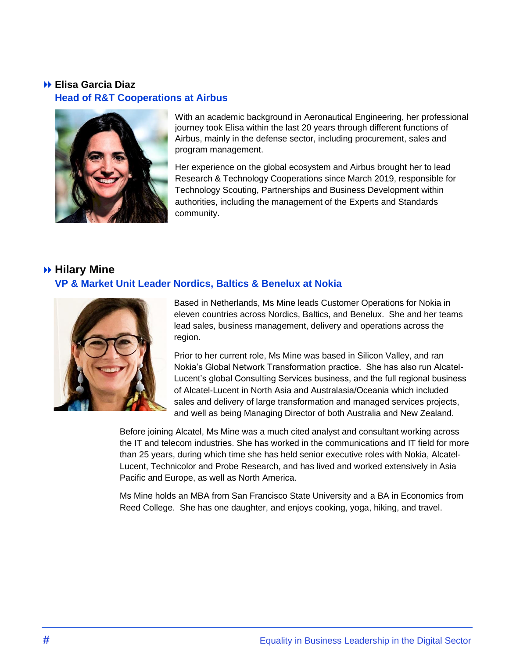### **Elisa Garcia Diaz Head of R&T Cooperations at Airbus**



With an academic background in Aeronautical Engineering, her professional journey took Elisa within the last 20 years through different functions of Airbus, mainly in the defense sector, including procurement, sales and program management.

Her experience on the global ecosystem and Airbus brought her to lead Research & Technology Cooperations since March 2019, responsible for Technology Scouting, Partnerships and Business Development within authorities, including the management of the Experts and Standards community.

### **Hilary Mine VP & Market Unit Leader Nordics, Baltics & Benelux at Nokia**



Based in Netherlands, Ms Mine leads Customer Operations for Nokia in eleven countries across Nordics, Baltics, and Benelux. She and her teams lead sales, business management, delivery and operations across the region.

Prior to her current role, Ms Mine was based in Silicon Valley, and ran Nokia's Global Network Transformation practice. She has also run Alcatel-Lucent's global Consulting Services business, and the full regional business of Alcatel-Lucent in North Asia and Australasia/Oceania which included sales and delivery of large transformation and managed services projects, and well as being Managing Director of both Australia and New Zealand.

Before joining Alcatel, Ms Mine was a much cited analyst and consultant working across the IT and telecom industries. She has worked in the communications and IT field for more than 25 years, during which time she has held senior executive roles with Nokia, Alcatel-Lucent, Technicolor and Probe Research, and has lived and worked extensively in Asia Pacific and Europe, as well as North America.

Ms Mine holds an MBA from San Francisco State University and a BA in Economics from Reed College. She has one daughter, and enjoys cooking, yoga, hiking, and travel.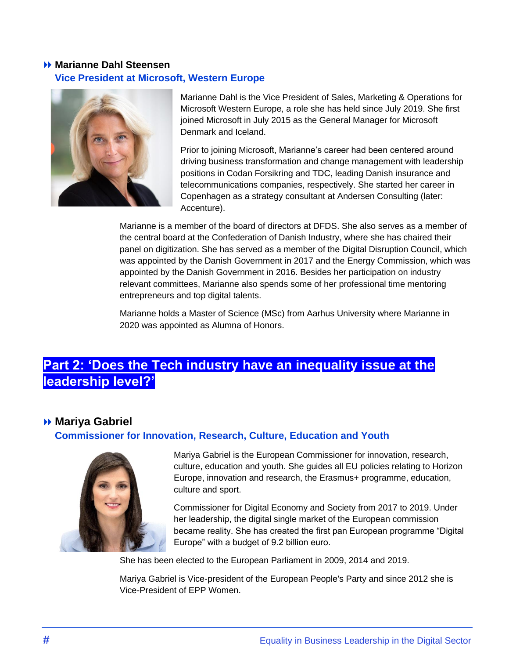### **Marianne Dahl Steensen Vice President at Microsoft, Western Europe**



Marianne Dahl is the Vice President of Sales, Marketing & Operations for Microsoft Western Europe, a role she has held since July 2019. She first joined Microsoft in July 2015 as the General Manager for Microsoft Denmark and Iceland.

Prior to joining Microsoft, Marianne's career had been centered around driving business transformation and change management with leadership positions in Codan Forsikring and TDC, leading Danish insurance and telecommunications companies, respectively. She started her career in Copenhagen as a strategy consultant at Andersen Consulting (later: Accenture).

Marianne is a member of the board of directors at DFDS. She also serves as a member of the central board at the Confederation of Danish Industry, where she has chaired their panel on digitization. She has served as a member of the Digital Disruption Council, which was appointed by the Danish Government in 2017 and the Energy Commission, which was appointed by the Danish Government in 2016. Besides her participation on industry relevant committees, Marianne also spends some of her professional time mentoring entrepreneurs and top digital talents.

Marianne holds a Master of Science (MSc) from Aarhus University where Marianne in 2020 was appointed as Alumna of Honors.

# **Part 2: 'Does the Tech industry have an inequality issue at the leadership level?'**

### **Mariya Gabriel**

### **Commissioner for Innovation, Research, Culture, Education and Youth**



Mariya Gabriel is the European Commissioner for innovation, research, culture, education and youth. She guides all EU policies relating to Horizon Europe, innovation and research, the Erasmus+ programme, education, culture and sport.

Commissioner for Digital Economy and Society from 2017 to 2019. Under her leadership, the digital single market of the European commission became reality. She has created the first pan European programme "Digital Europe" with a budget of 9.2 billion euro.

She has been elected to the European Parliament in 2009, 2014 and 2019.

Mariya Gabriel is Vice-president of the European People's Party and since 2012 she is Vice-President of EPP Women.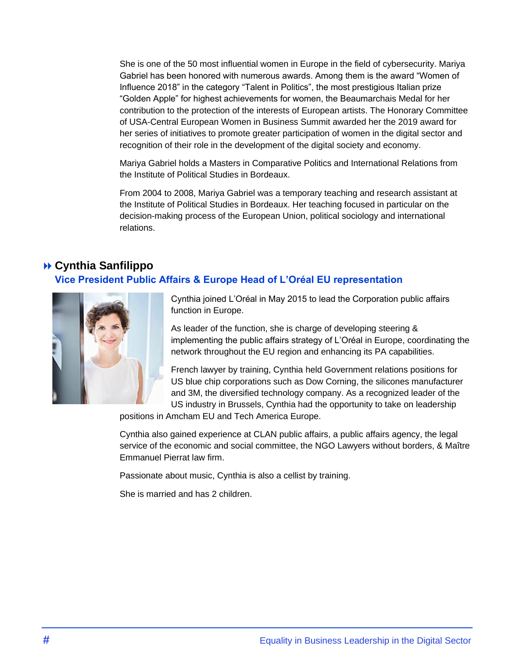She is one of the 50 most influential women in Europe in the field of cybersecurity. Mariya Gabriel has been honored with numerous awards. Among them is the award "Women of Influence 2018" in the category "Talent in Politics", the most prestigious Italian prize "Golden Apple" for highest achievements for women, the Beaumarchais Medal for her contribution to the protection of the interests of European artists. The Honorary Committee of USA-Central European Women in Business Summit awarded her the 2019 award for her series of initiatives to promote greater participation of women in the digital sector and recognition of their role in the development of the digital society and economy.

Mariya Gabriel holds a Masters in Comparative Politics and International Relations from the Institute of Political Studies in Bordeaux.

From 2004 to 2008, Mariya Gabriel was a temporary teaching and research assistant at the Institute of Political Studies in Bordeaux. Her teaching focused in particular on the decision-making process of the European Union, political sociology and international relations.

### **Cynthia Sanfilippo Vice President Public Affairs & Europe Head of L'Oréal EU representation**



Cynthia joined L'Oréal in May 2015 to lead the Corporation public affairs function in Europe.

As leader of the function, she is charge of developing steering & implementing the public affairs strategy of L'Oréal in Europe, coordinating the network throughout the EU region and enhancing its PA capabilities.

French lawyer by training, Cynthia held Government relations positions for US blue chip corporations such as Dow Corning, the silicones manufacturer and 3M, the diversified technology company. As a recognized leader of the US industry in Brussels, Cynthia had the opportunity to take on leadership

positions in Amcham EU and Tech America Europe.

Cynthia also gained experience at CLAN public affairs, a public affairs agency, the legal service of the economic and social committee, the NGO Lawyers without borders, & Maître Emmanuel Pierrat law firm.

Passionate about music, Cynthia is also a cellist by training.

She is married and has 2 children.